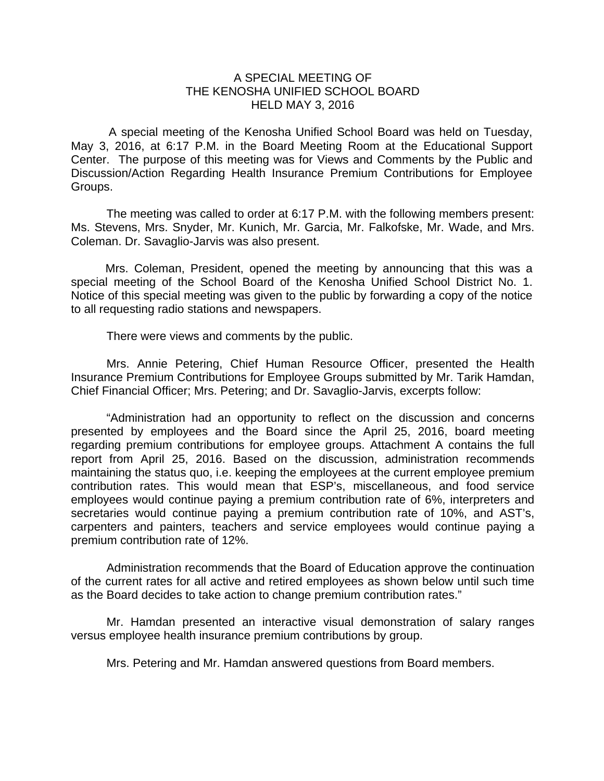## A SPECIAL MEETING OF THE KENOSHA UNIFIED SCHOOL BOARD HELD MAY 3, 2016

 A special meeting of the Kenosha Unified School Board was held on Tuesday, May 3, 2016, at 6:17 P.M. in the Board Meeting Room at the Educational Support Center. The purpose of this meeting was for Views and Comments by the Public and Discussion/Action Regarding Health Insurance Premium Contributions for Employee Groups.

The meeting was called to order at 6:17 P.M. with the following members present: Ms. Stevens, Mrs. Snyder, Mr. Kunich, Mr. Garcia, Mr. Falkofske, Mr. Wade, and Mrs. Coleman. Dr. Savaglio-Jarvis was also present.

Mrs. Coleman, President, opened the meeting by announcing that this was a special meeting of the School Board of the Kenosha Unified School District No. 1. Notice of this special meeting was given to the public by forwarding a copy of the notice to all requesting radio stations and newspapers.

There were views and comments by the public.

 Mrs. Annie Petering, Chief Human Resource Officer, presented the Health Insurance Premium Contributions for Employee Groups submitted by Mr. Tarik Hamdan, Chief Financial Officer; Mrs. Petering; and Dr. Savaglio-Jarvis, excerpts follow:

 "Administration had an opportunity to reflect on the discussion and concerns presented by employees and the Board since the April 25, 2016, board meeting regarding premium contributions for employee groups. Attachment A contains the full report from April 25, 2016. Based on the discussion, administration recommends maintaining the status quo, i.e. keeping the employees at the current employee premium contribution rates. This would mean that ESP's, miscellaneous, and food service employees would continue paying a premium contribution rate of 6%, interpreters and secretaries would continue paying a premium contribution rate of 10%, and AST's, carpenters and painters, teachers and service employees would continue paying a premium contribution rate of 12%.

 Administration recommends that the Board of Education approve the continuation of the current rates for all active and retired employees as shown below until such time as the Board decides to take action to change premium contribution rates."

 Mr. Hamdan presented an interactive visual demonstration of salary ranges versus employee health insurance premium contributions by group.

Mrs. Petering and Mr. Hamdan answered questions from Board members.